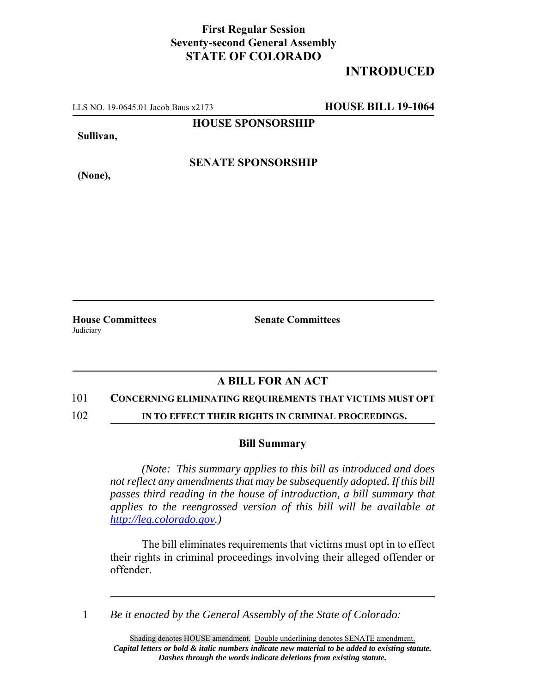## **First Regular Session Seventy-second General Assembly STATE OF COLORADO**

# **INTRODUCED**

LLS NO. 19-0645.01 Jacob Baus x2173 **HOUSE BILL 19-1064**

**HOUSE SPONSORSHIP**

**Sullivan,**

**(None),**

**SENATE SPONSORSHIP**

**House Committees Senate Committees** Judiciary

### **A BILL FOR AN ACT**

### 101 **CONCERNING ELIMINATING REQUIREMENTS THAT VICTIMS MUST OPT**

102 **IN TO EFFECT THEIR RIGHTS IN CRIMINAL PROCEEDINGS.**

### **Bill Summary**

*(Note: This summary applies to this bill as introduced and does not reflect any amendments that may be subsequently adopted. If this bill passes third reading in the house of introduction, a bill summary that applies to the reengrossed version of this bill will be available at http://leg.colorado.gov.)*

The bill eliminates requirements that victims must opt in to effect their rights in criminal proceedings involving their alleged offender or offender.

1 *Be it enacted by the General Assembly of the State of Colorado:*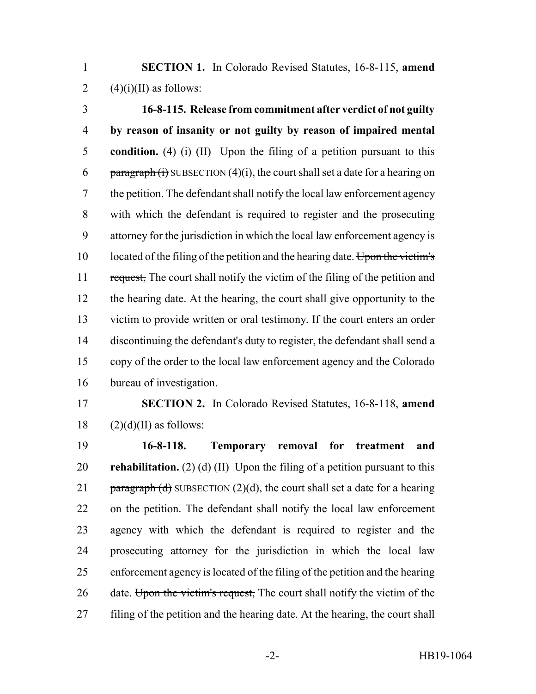**SECTION 1.** In Colorado Revised Statutes, 16-8-115, **amend** 2  $(4)(i)(II)$  as follows:

 **16-8-115. Release from commitment after verdict of not guilty by reason of insanity or not guilty by reason of impaired mental condition.** (4) (i) (II) Upon the filing of a petition pursuant to this 6 paragraph (i) SUBSECTION (4)(i), the court shall set a date for a hearing on the petition. The defendant shall notify the local law enforcement agency with which the defendant is required to register and the prosecuting attorney for the jurisdiction in which the local law enforcement agency is 10 located of the filing of the petition and the hearing date. Upon the victim's 11 request, The court shall notify the victim of the filing of the petition and the hearing date. At the hearing, the court shall give opportunity to the victim to provide written or oral testimony. If the court enters an order discontinuing the defendant's duty to register, the defendant shall send a copy of the order to the local law enforcement agency and the Colorado bureau of investigation.

 **SECTION 2.** In Colorado Revised Statutes, 16-8-118, **amend** (2)(d)(II) as follows:

 **16-8-118. Temporary removal for treatment and rehabilitation.** (2) (d) (II) Upon the filing of a petition pursuant to this 21 paragraph (d) SUBSECTION (2)(d), the court shall set a date for a hearing on the petition. The defendant shall notify the local law enforcement agency with which the defendant is required to register and the prosecuting attorney for the jurisdiction in which the local law enforcement agency is located of the filing of the petition and the hearing 26 date. Upon the victim's request, The court shall notify the victim of the filing of the petition and the hearing date. At the hearing, the court shall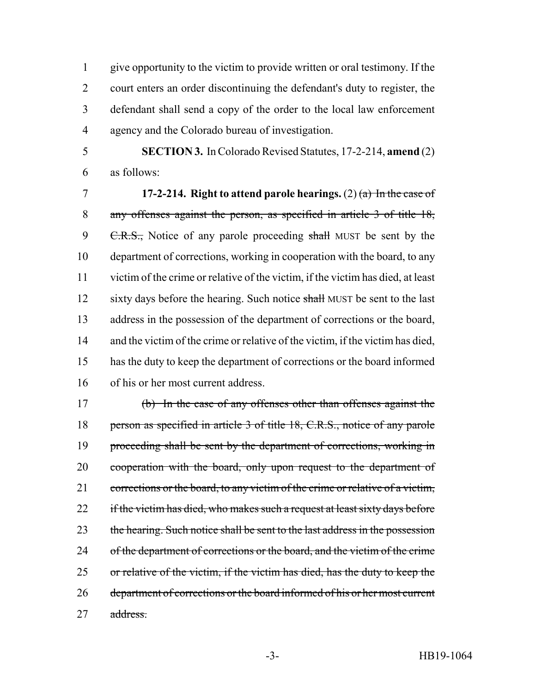give opportunity to the victim to provide written or oral testimony. If the court enters an order discontinuing the defendant's duty to register, the defendant shall send a copy of the order to the local law enforcement agency and the Colorado bureau of investigation.

 **SECTION 3.** In Colorado Revised Statutes, 17-2-214, **amend** (2) as follows:

 **17-2-214. Right to attend parole hearings.** (2) (a) In the case of any offenses against the person, as specified in article 3 of title 18, 9 C.R.S., Notice of any parole proceeding shall MUST be sent by the department of corrections, working in cooperation with the board, to any victim of the crime or relative of the victim, if the victim has died, at least 12 sixty days before the hearing. Such notice shall MUST be sent to the last address in the possession of the department of corrections or the board, 14 and the victim of the crime or relative of the victim, if the victim has died, has the duty to keep the department of corrections or the board informed of his or her most current address.

 (b) In the case of any offenses other than offenses against the 18 person as specified in article 3 of title 18, C.R.S., notice of any parole 19 proceeding shall be sent by the department of corrections, working in 20 cooperation with the board, only upon request to the department of 21 corrections or the board, to any victim of the crime or relative of a victim, 22 if the victim has died, who makes such a request at least sixty days before 23 the hearing. Such notice shall be sent to the last address in the possession 24 of the department of corrections or the board, and the victim of the crime or relative of the victim, if the victim has died, has the duty to keep the department of corrections or the board informed of his or her most current address.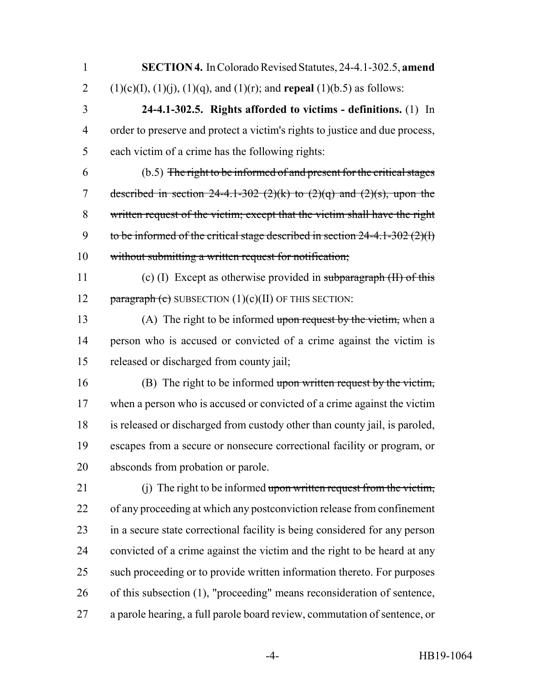**SECTION 4.** In Colorado Revised Statutes, 24-4.1-302.5, **amend** 2 (1)(c)(I), (1)(j), (1)(q), and (1)(r); and **repeal** (1)(b.5) as follows:

 **24-4.1-302.5. Rights afforded to victims - definitions.** (1) In order to preserve and protect a victim's rights to justice and due process, each victim of a crime has the following rights:

 (b.5) The right to be informed of and present for the critical stages 7 described in section  $24-4.1-302$  ( $2$ )(k) to ( $2$ )( $\alpha$ ) and ( $2$ )( $\alpha$ ), upon the written request of the victim; except that the victim shall have the right 9 to be informed of the critical stage described in section  $24-4.1-302(2)(1)$ without submitting a written request for notification;

 (c) (I) Except as otherwise provided in subparagraph (II) of this 12 paragraph (c) SUBSECTION  $(1)(c)(II)$  OF THIS SECTION:

13 (A) The right to be informed upon request by the victim, when a person who is accused or convicted of a crime against the victim is released or discharged from county jail;

 (B) The right to be informed upon written request by the victim, when a person who is accused or convicted of a crime against the victim is released or discharged from custody other than county jail, is paroled, escapes from a secure or nonsecure correctional facility or program, or absconds from probation or parole.

21 (i) The right to be informed upon written request from the victim, of any proceeding at which any postconviction release from confinement in a secure state correctional facility is being considered for any person convicted of a crime against the victim and the right to be heard at any such proceeding or to provide written information thereto. For purposes of this subsection (1), "proceeding" means reconsideration of sentence, a parole hearing, a full parole board review, commutation of sentence, or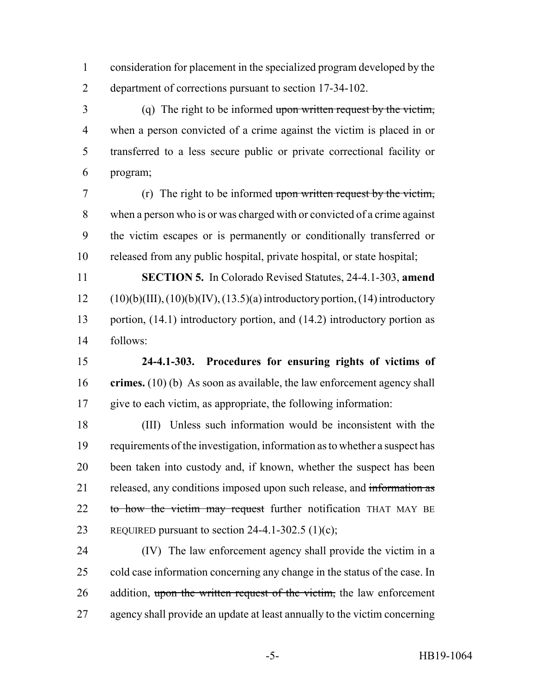consideration for placement in the specialized program developed by the department of corrections pursuant to section 17-34-102.

 (q) The right to be informed upon written request by the victim, when a person convicted of a crime against the victim is placed in or transferred to a less secure public or private correctional facility or program;

 (r) The right to be informed upon written request by the victim, when a person who is or was charged with or convicted of a crime against the victim escapes or is permanently or conditionally transferred or released from any public hospital, private hospital, or state hospital;

 **SECTION 5.** In Colorado Revised Statutes, 24-4.1-303, **amend** (10)(b)(III), (10)(b)(IV), (13.5)(a) introductory portion, (14) introductory 13 portion, (14.1) introductory portion, and (14.2) introductory portion as follows:

 **24-4.1-303. Procedures for ensuring rights of victims of crimes.** (10) (b) As soon as available, the law enforcement agency shall give to each victim, as appropriate, the following information:

 (III) Unless such information would be inconsistent with the requirements of the investigation, information as to whether a suspect has been taken into custody and, if known, whether the suspect has been 21 released, any conditions imposed upon such release, and information as 22 to how the victim may request further notification THAT MAY BE 23 REQUIRED pursuant to section 24-4.1-302.5 (1)(c);

 (IV) The law enforcement agency shall provide the victim in a cold case information concerning any change in the status of the case. In 26 addition, upon the written request of the victim, the law enforcement agency shall provide an update at least annually to the victim concerning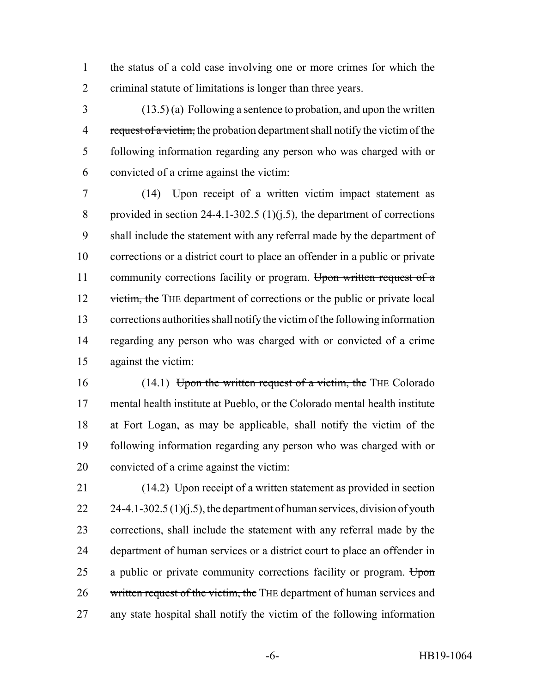the status of a cold case involving one or more crimes for which the criminal statute of limitations is longer than three years.

 (13.5) (a) Following a sentence to probation, and upon the written 4 request of a victim, the probation department shall notify the victim of the following information regarding any person who was charged with or convicted of a crime against the victim:

 (14) Upon receipt of a written victim impact statement as 8 provided in section 24-4.1-302.5 (1)( $j$ , 5), the department of corrections shall include the statement with any referral made by the department of corrections or a district court to place an offender in a public or private 11 community corrections facility or program. Upon written request of a 12 victim, the THE department of corrections or the public or private local corrections authorities shall notify the victim of the following information regarding any person who was charged with or convicted of a crime against the victim:

16 (14.1) Upon the written request of a victim, the THE Colorado mental health institute at Pueblo, or the Colorado mental health institute at Fort Logan, as may be applicable, shall notify the victim of the following information regarding any person who was charged with or convicted of a crime against the victim:

 (14.2) Upon receipt of a written statement as provided in section  $24-4.1-302.5(1)(i.5)$ , the department of human services, division of youth corrections, shall include the statement with any referral made by the department of human services or a district court to place an offender in 25 a public or private community corrections facility or program. Upon 26 written request of the victim, the THE department of human services and any state hospital shall notify the victim of the following information